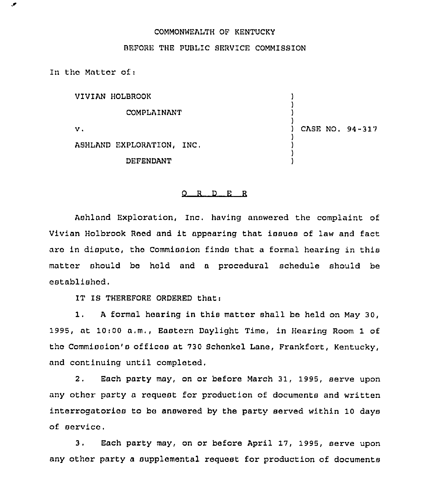## COMMONWEALTH OF KENTUCKY

BEFORE THE PUBLIC SERVICE COMMISSION

In the Matter of $<sub>1</sub>$ </sub>

۰,

VIVIAN HOLBROOK COMPLAINANT  $v$ .

) CASE NO. 94-317

) ) ) )

) ) ) )

ASHLAND EXPLORATION, INC. DEFENDANT

## 0 <sup>R</sup> <sup>D</sup> <sup>E</sup> <sup>R</sup>

Ashland Exploration, Inc. having answered the complaint of Vivian Holbrook Rood and it appearing that issues of law and fact are in dispute, tho Commission finds that a formal hearing in this matter should bo hold and a procedural schedule should be established.

IT IS THEREFORE ORDERED that:

1. <sup>A</sup> formal hoarinq in this matter shall be held on May 30, 1995, at 10:00 a.m,, Eastorn Daylight Time, in Hearing Room 1 of the Commission's officoa at 730 Schenkel Lane, Frankfort, Kentucky, and continuing until completed.

2. Each party may, on or before March 31, 1995, serve upon any other party a request for production of documents and written interrogatorios to be answored by the party served within 10 days of service.

3. Each party may, on or. before April 17, 1995, serve upon any other party a supplemental request for production of documents